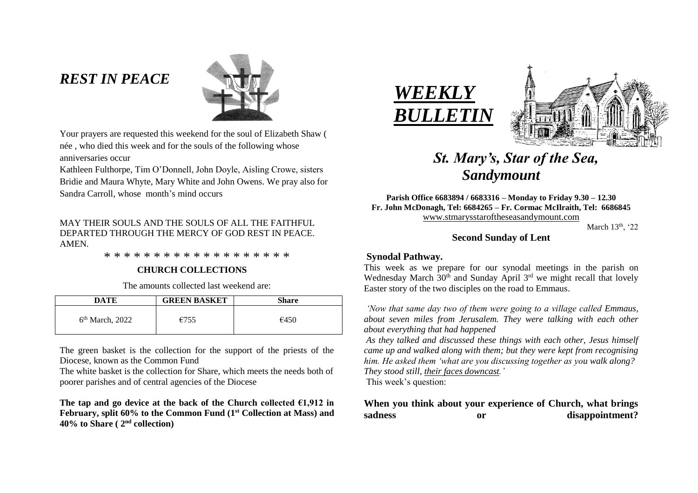# *REST IN PEACE*



Your prayers are requested this weekend for the soul of Elizabeth Shaw ( née , who died this week and for the souls of the following whose anniversaries occur

Kathleen Fulthorpe, Tim O'Donnell, John Doyle, Aisling Crowe, sisters Bridie and Maura Whyte, Mary White and John Owens. We pray also for Sandra Carroll, whose month's mind occurs

## MAY THEIR SOULS AND THE SOULS OF ALL THE FAITHFUL. DEPARTED THROUGH THE MERCY OF GOD REST IN PEACE. AMEN.

\* \* \* \* \* \* \* \* \* \* \* \* \* \* \* \* \* \* \*

## **CHURCH COLLECTIONS**

The amounts collected last weekend are:

| DATE                        | <b>GREEN BASKET</b> | <b>Share</b> |
|-----------------------------|---------------------|--------------|
| 6 <sup>th</sup> March, 2022 | €755                | €450         |

The green basket is the collection for the support of the priests of the Diocese, known as the Common Fund

The white basket is the collection for Share, which meets the needs both of poorer parishes and of central agencies of the Diocese

The tap and go device at the back of the Church collected  $\epsilon$ 1,912 in **February, split 60% to the Common Fund (1st Collection at Mass) and 40% to Share ( 2nd collection)**





# *St. Mary's, Star of the Sea, Sandymount*

**Parish Office 6683894 / 6683316 – Monday to Friday 9.30 – 12.30 Fr. John McDonagh, Tel: 6684265 – Fr. Cormac McIlraith, Tel: 6686845** [www.stmarysstaroftheseasandymount.com](http://www.stmarysstaroftheseasandymount.com/)

March  $13<sup>th</sup>$ , '22

# **Second Sunday of Lent**

## **Synodal Pathway.**

This week as we prepare for our synodal meetings in the parish on Wednesday March  $30<sup>th</sup>$  and Sunday April  $3<sup>rd</sup>$  we might recall that lovely Easter story of the two disciples on the road to Emmaus.

*'Now that same day two of them were going to a village called Emmaus, about seven miles from Jerusalem. They were talking with each other about everything that had happened*

*As they talked and discussed these things with each other, Jesus himself came up and walked along with them; but they were kept from recognising him. He asked them 'what are you discussing together as you walk along? They stood still, their faces downcast.'*

This week's question:

# **When you think about your experience of Church, what brings**  sadness or disappointment?